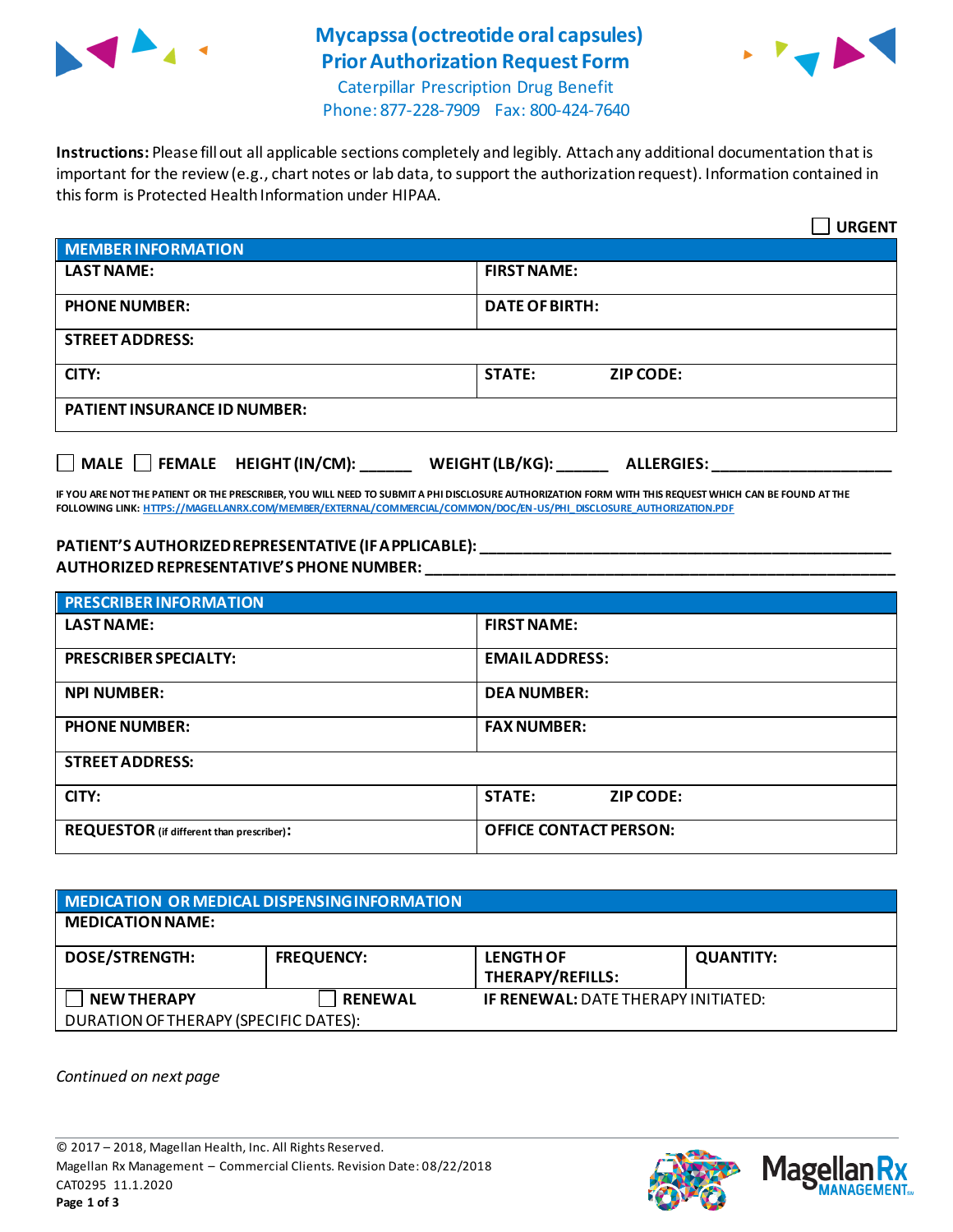

# **Mycapssa (octreotide oral capsules) Prior Authorization Request Form**



Caterpillar Prescription Drug Benefit Phone: 877-228-7909 Fax: 800-424-7640

**Instructions:** Please fill out all applicable sections completely and legibly. Attach any additional documentation that is important for the review (e.g., chart notes or lab data, to support the authorization request). Information contained in this form is Protected Health Information under HIPAA.

|                                              | <b>URGENT</b>                        |  |  |
|----------------------------------------------|--------------------------------------|--|--|
| <b>MEMBER INFORMATION</b>                    |                                      |  |  |
| <b>LAST NAME:</b>                            | <b>FIRST NAME:</b>                   |  |  |
| <b>PHONE NUMBER:</b>                         | <b>DATE OF BIRTH:</b>                |  |  |
| <b>STREET ADDRESS:</b>                       |                                      |  |  |
| CITY:                                        | <b>STATE:</b><br><b>ZIP CODE:</b>    |  |  |
| <b>PATIENT INSURANCE ID NUMBER:</b>          |                                      |  |  |
| $\Box$ MALE $\Box$ FEMALE HEIGHT (IN/CM): __ | WEIGHT (LB/KG):<br><b>ALLERGIES:</b> |  |  |

**IF YOU ARE NOT THE PATIENT OR THE PRESCRIBER, YOU WILL NEED TO SUBMIT A PHI DISCLOSURE AUTHORIZATION FORM WITH THIS REQUEST WHICH CAN BE FOUND AT THE FOLLOWING LINK[: HTTPS://MAGELLANRX.COM/MEMBER/EXTERNAL/COMMERCIAL/COMMON/DOC/EN-US/PHI\\_DISCLOSURE\\_AUTHORIZATION.PDF](https://magellanrx.com/member/external/commercial/common/doc/en-us/PHI_Disclosure_Authorization.pdf)**

**PATIENT'S AUTHORIZED REPRESENTATIVE (IF APPLICABLE): \_\_\_\_\_\_\_\_\_\_\_\_\_\_\_\_\_\_\_\_\_\_\_\_\_\_\_\_\_\_\_\_\_\_\_\_\_\_\_\_\_\_\_\_\_\_\_\_ AUTHORIZED REPRESENTATIVE'S PHONE NUMBER: \_\_\_\_\_\_\_\_\_\_\_\_\_\_\_\_\_\_\_\_\_\_\_\_\_\_\_\_\_\_\_\_\_\_\_\_\_\_\_\_\_\_\_\_\_\_\_\_\_\_\_\_\_\_\_**

| <b>PRESCRIBER INFORMATION</b>             |                                   |  |
|-------------------------------------------|-----------------------------------|--|
| <b>LAST NAME:</b>                         | <b>FIRST NAME:</b>                |  |
| <b>PRESCRIBER SPECIALTY:</b>              | <b>EMAIL ADDRESS:</b>             |  |
| <b>NPI NUMBER:</b>                        | <b>DEA NUMBER:</b>                |  |
| <b>PHONE NUMBER:</b>                      | <b>FAX NUMBER:</b>                |  |
| <b>STREET ADDRESS:</b>                    |                                   |  |
| CITY:                                     | <b>STATE:</b><br><b>ZIP CODE:</b> |  |
| REQUESTOR (if different than prescriber): | <b>OFFICE CONTACT PERSON:</b>     |  |

| MEDICATION OR MEDICAL DISPENSING INFORMATION |                   |                                            |                  |  |  |
|----------------------------------------------|-------------------|--------------------------------------------|------------------|--|--|
| <b>MEDICATION NAME:</b>                      |                   |                                            |                  |  |  |
| <b>DOSE/STRENGTH:</b>                        | <b>FREQUENCY:</b> | <b>LENGTH OF</b><br>THERAPY/REFILLS:       | <b>QUANTITY:</b> |  |  |
| <b>NEW THERAPY</b>                           | <b>RENEWAL</b>    | <b>IF RENEWAL: DATE THERAPY INITIATED:</b> |                  |  |  |
| DURATION OF THERAPY (SPECIFIC DATES):        |                   |                                            |                  |  |  |

*Continued on next page*



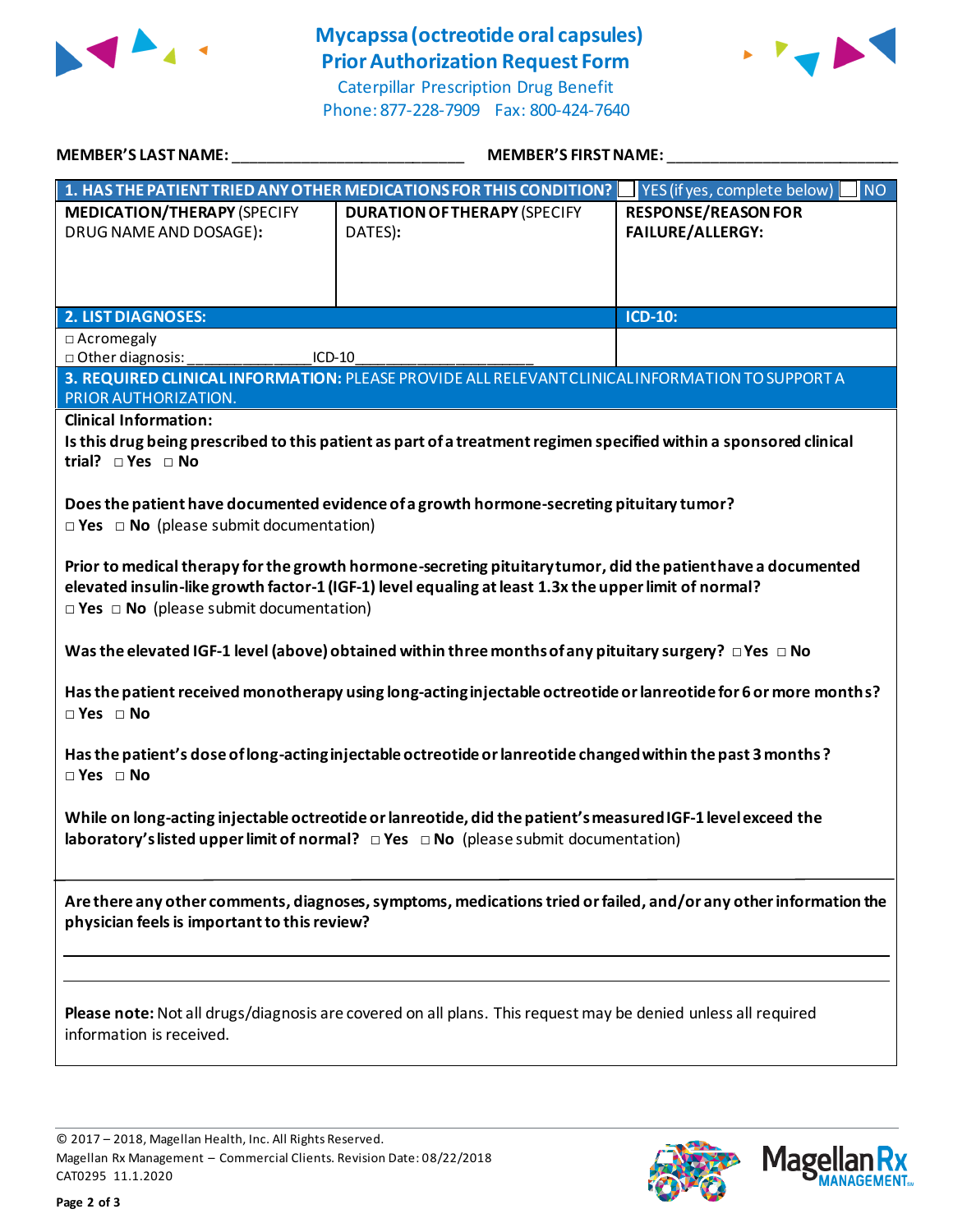

## **Mycapssa (octreotide oral capsules) Prior Authorization Request Form**

Caterpillar Prescription Drug Benefit Phone: 877-228-7909 Fax: 800-424-7640



| 1. HAS THE PATIENT TRIED ANY OTHER MEDICATIONS FOR THIS CONDITION?<br><b>MEDICATION/THERAPY (SPECIFY</b>                                                                                                                                                                    |                                                | YES (if yes, complete below)<br><b>NO</b>             |  |  |
|-----------------------------------------------------------------------------------------------------------------------------------------------------------------------------------------------------------------------------------------------------------------------------|------------------------------------------------|-------------------------------------------------------|--|--|
|                                                                                                                                                                                                                                                                             |                                                |                                                       |  |  |
| DRUG NAME AND DOSAGE):                                                                                                                                                                                                                                                      | <b>DURATION OF THERAPY (SPECIFY</b><br>DATES): | <b>RESPONSE/REASON FOR</b><br><b>FAILURE/ALLERGY:</b> |  |  |
| <b>2. LIST DIAGNOSES:</b>                                                                                                                                                                                                                                                   |                                                | ICD-10:                                               |  |  |
| $\Box$ Acromegaly<br>□ Other diagnosis:<br>ICD-10                                                                                                                                                                                                                           |                                                |                                                       |  |  |
| 3. REQUIRED CLINICAL INFORMATION: PLEASE PROVIDE ALL RELEVANT CLINICAL INFORMATION TO SUPPORT A<br>PRIOR AUTHORIZATION.                                                                                                                                                     |                                                |                                                       |  |  |
| <b>Clinical Information:</b><br>Is this drug being prescribed to this patient as part of a treatment regimen specified within a sponsored clinical<br>trial? $\square$ Yes $\square$ No                                                                                     |                                                |                                                       |  |  |
| Does the patient have documented evidence of a growth hormone-secreting pituitary tumor?<br>$\Box$ Yes $\Box$ No (please submit documentation)                                                                                                                              |                                                |                                                       |  |  |
| Prior to medical therapy for the growth hormone-secreting pituitary tumor, did the patient have a documented<br>elevated insulin-like growth factor-1 (IGF-1) level equaling at least 1.3x the upper limit of normal?<br>$\Box$ Yes $\Box$ No (please submit documentation) |                                                |                                                       |  |  |
| Was the elevated IGF-1 level (above) obtained within three months of any pituitary surgery? $\Box$ Yes $\Box$ No                                                                                                                                                            |                                                |                                                       |  |  |
| Has the patient received monotherapy using long-acting injectable octreotide or lanreotide for 6 or more months?<br>$\Box$ Yes $\Box$ No                                                                                                                                    |                                                |                                                       |  |  |
| Has the patient's dose of long-acting injectable octreotide or lanreotide changed within the past 3 months?<br>$\Box$ Yes $\Box$ No                                                                                                                                         |                                                |                                                       |  |  |
| While on long-acting injectable octreotide or lanreotide, did the patient's measured IGF-1 level exceed the<br>laboratory's listed upper limit of normal? $\Box$ Yes $\Box$ No (please submit documentation)                                                                |                                                |                                                       |  |  |
| Are there any other comments, diagnoses, symptoms, medications tried or failed, and/or any other information the<br>physician feels is important to this review?                                                                                                            |                                                |                                                       |  |  |
| Please note: Not all drugs/diagnosis are covered on all plans. This request may be denied unless all required<br>information is received.                                                                                                                                   |                                                |                                                       |  |  |

© 2017 – 2018, Magellan Health, Inc. All Rights Reserved. Magellan Rx Management – Commercial Clients. Revision Date: 08/22/2018 CAT0295 11.1.2020